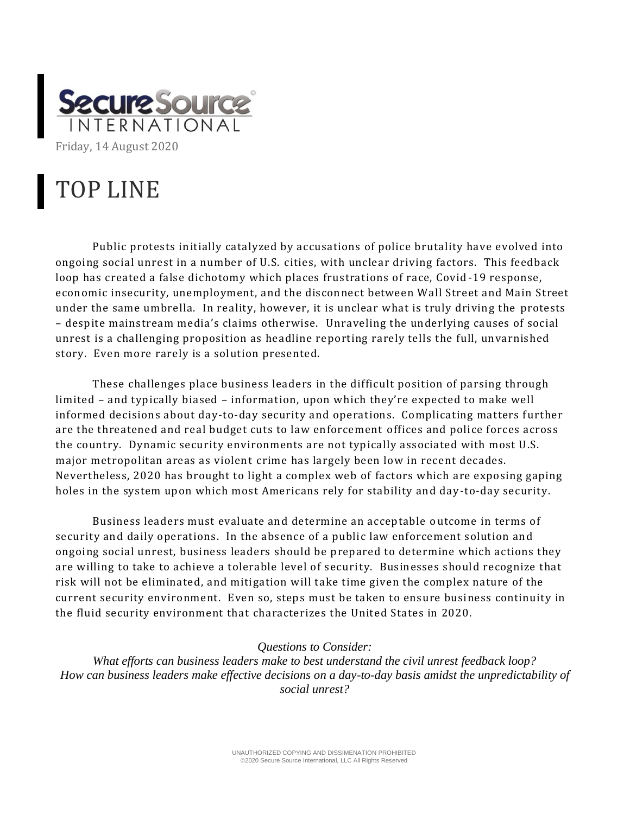

## TOP LINE

Public protests initially catalyzed by accusations of police brutality have evolved into ongoing social unrest in a number of U.S. cities, with unclear driving factors. This feedback loop has created a false dichotomy which places frustrations of race, Covid -19 response, economic insecurity, unemployment, and the disconnect between Wall Street and Main Street under the same umbrella. In reality, however, it is unclear what is truly driving the protests – despite mainstream media's claims otherwise. Unraveling the underlying causes of social unrest is a challenging proposition as headline reporting rarely tells the full, unvarnished story. Even more rarely is a solution presented.

These challenges place business leaders in the difficult position of parsing through limited – and typically biased – information, upon which they're expected to make well informed decisions about day-to-day security and operations. Complicating matters further are the threatened and real budget cuts to law enforcement offices and police forces across the country. Dynamic security environments are not typically associated with most U.S. major metropolitan areas as violent crime has largely been low in recent decades. Nevertheless, 2020 has brought to light a complex web of factors which are exposing gaping holes in the system upon which most Americans rely for stability and day -to-day security.

Business leaders must evaluate and determine an acceptable o utcome in terms of security and daily operations. In the absence of a public law enforcement solution and ongoing social unrest, business leaders should be prepared to determine which actions they are willing to take to achieve a tolerable level of security. Businesses should recognize that risk will not be eliminated, and mitigation will take time given the complex nature of the current security environment. Even so, steps must be taken to ensure business continuity in the fluid security environment that characterizes the United States in 2020.

## *Questions to Consider:*

*What efforts can business leaders make to best understand the civil unrest feedback loop? How can business leaders make effective decisions on a day-to-day basis amidst the unpredictability of social unrest?*